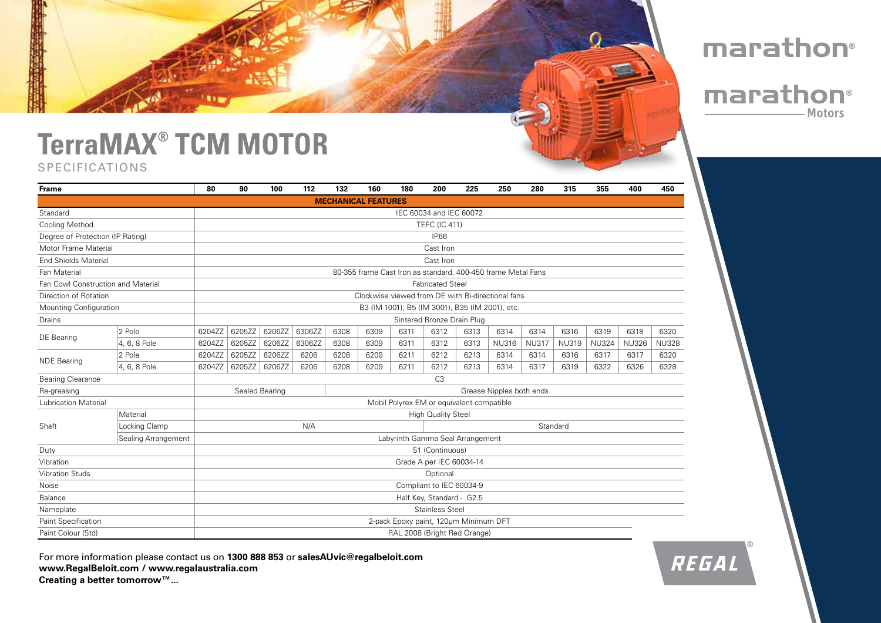### **TerraMAX® TCM MOTOR** SPECIFICATIONS

| <b>Frame</b>                       |                     | 80                                                           | 90     | 100    | 112    | 132  | 160                        | 180                                   | 200                        | 225  | 250          | 280          | 315          | 355          | 400          | 450          |
|------------------------------------|---------------------|--------------------------------------------------------------|--------|--------|--------|------|----------------------------|---------------------------------------|----------------------------|------|--------------|--------------|--------------|--------------|--------------|--------------|
|                                    |                     |                                                              |        |        |        |      | <b>MECHANICAL FEATURES</b> |                                       |                            |      |              |              |              |              |              |              |
| Standard                           |                     | IEC 60034 and IEC 60072                                      |        |        |        |      |                            |                                       |                            |      |              |              |              |              |              |              |
| <b>Cooling Method</b>              |                     |                                                              |        |        |        |      |                            |                                       | <b>TEFC (IC 411)</b>       |      |              |              |              |              |              |              |
| Degree of Protection (IP Rating)   |                     |                                                              |        |        |        |      |                            |                                       | <b>IP66</b>                |      |              |              |              |              |              |              |
| Motor Frame Material               |                     | Cast Iron                                                    |        |        |        |      |                            |                                       |                            |      |              |              |              |              |              |              |
| <b>End Shields Material</b>        |                     | Cast Iron                                                    |        |        |        |      |                            |                                       |                            |      |              |              |              |              |              |              |
| Fan Material                       |                     | 80-355 frame Cast Iron as standard. 400-450 frame Metal Fans |        |        |        |      |                            |                                       |                            |      |              |              |              |              |              |              |
| Fan Cowl Construction and Material |                     | <b>Fabricated Steel</b>                                      |        |        |        |      |                            |                                       |                            |      |              |              |              |              |              |              |
| Direction of Rotation              |                     | Clockwise viewed from DE with Bi-directional fans            |        |        |        |      |                            |                                       |                            |      |              |              |              |              |              |              |
| Mounting Configuration             |                     | B3 (IM 1001), B5 (IM 3001), B35 (IM 2001), etc.              |        |        |        |      |                            |                                       |                            |      |              |              |              |              |              |              |
| Drains                             |                     |                                                              |        |        |        |      |                            |                                       | Sintered Bronze Drain Plug |      |              |              |              |              |              |              |
| <b>DE</b> Bearing                  | 2 Pole              | 6204ZZ                                                       | 6205ZZ | 6206ZZ | 6306ZZ | 6308 | 6309                       | 6311                                  | 6312                       | 6313 | 6314         | 6314         | 6316         | 6319         | 6318         | 6320         |
|                                    | 4, 6, 8 Pole        | 6204ZZ                                                       | 6205ZZ | 6206ZZ | 6306ZZ | 6308 | 6309                       | 6311                                  | 6312                       | 6313 | <b>NU316</b> | <b>NU317</b> | <b>NU319</b> | <b>NU324</b> | <b>NU326</b> | <b>NU328</b> |
| <b>NDE Bearing</b>                 | 2 Pole              | 6204ZZ                                                       | 6205ZZ | 6206ZZ | 6206   | 6208 | 6209                       | 6211                                  | 6212                       | 6213 | 6314         | 6314         | 6316         | 6317         | 6317         | 6320         |
|                                    | 4, 6, 8 Pole        | 6204ZZ                                                       | 6205ZZ | 6206ZZ | 6206   | 6208 | 6209                       | 6211                                  | 6212                       | 6213 | 6314         | 6317         | 6319         | 6322         | 6326         | 6328         |
| <b>Bearing Clearance</b>           |                     | C <sub>3</sub>                                               |        |        |        |      |                            |                                       |                            |      |              |              |              |              |              |              |
| Re-greasing                        |                     | Sealed Bearing<br>Grease Nipples both ends                   |        |        |        |      |                            |                                       |                            |      |              |              |              |              |              |              |
| <b>Lubrication Material</b>        |                     | Mobil Polyrex EM or equivalent compatible                    |        |        |        |      |                            |                                       |                            |      |              |              |              |              |              |              |
| Shaft                              | Material            | <b>High Quality Steel</b>                                    |        |        |        |      |                            |                                       |                            |      |              |              |              |              |              |              |
|                                    | Locking Clamp       | N/A<br>Standard                                              |        |        |        |      |                            |                                       |                            |      |              |              |              |              |              |              |
|                                    | Sealing Arrangement | Labyrinth Gamma Seal Arrangement                             |        |        |        |      |                            |                                       |                            |      |              |              |              |              |              |              |
| Duty                               |                     | S1 (Continuous)                                              |        |        |        |      |                            |                                       |                            |      |              |              |              |              |              |              |
| Vibration                          |                     | Grade A per IEC 60034-14                                     |        |        |        |      |                            |                                       |                            |      |              |              |              |              |              |              |
| <b>Vibration Studs</b>             |                     | Optional                                                     |        |        |        |      |                            |                                       |                            |      |              |              |              |              |              |              |
| Noise                              |                     | Compliant to IEC 60034-9                                     |        |        |        |      |                            |                                       |                            |      |              |              |              |              |              |              |
| Balance                            |                     | Half Key, Standard - G2.5                                    |        |        |        |      |                            |                                       |                            |      |              |              |              |              |              |              |
| Nameplate                          |                     |                                                              |        |        |        |      |                            |                                       | <b>Stainless Steel</b>     |      |              |              |              |              |              |              |
| Paint Specification                |                     |                                                              |        |        |        |      |                            | 2-pack Epoxy paint, 120um Minimum DFT |                            |      |              |              |              |              |              |              |
| Paint Colour (Std)                 |                     |                                                              |        |        |        |      |                            | RAL 2008 (Bright Red Orange)          |                            |      |              |              |              |              |              |              |

For more information please contact us on **1300 888 853** or **salesAUvic@regalbeloit.com www.RegalBeloit.com / www.regalaustralia.com Creating a better tomorrow™...**



## marathon®

### marathon® -Motors